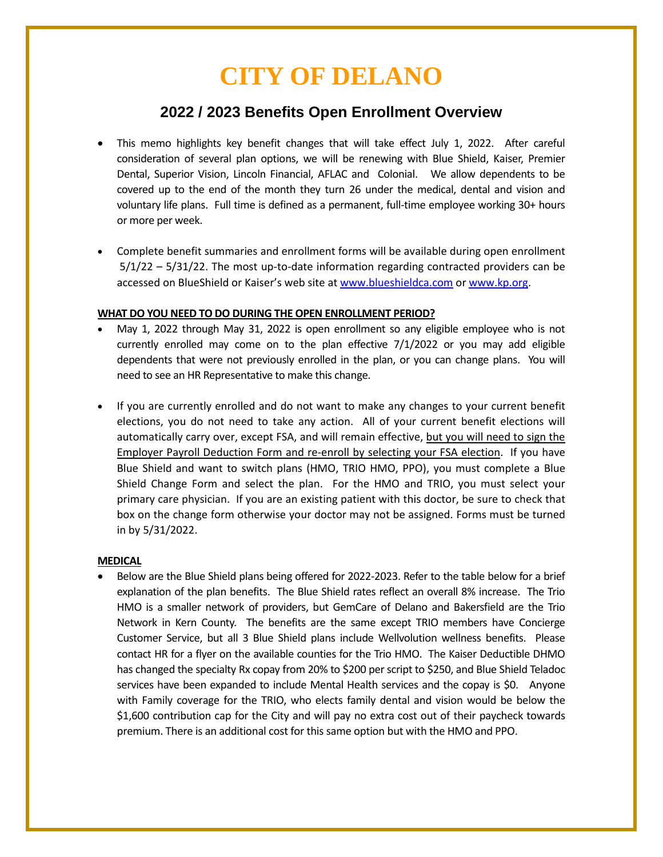# **CITY OF DELANO**

# **2022 / 2023 Benefits Open Enrollment Overview**

- This memo highlights key benefit changes that will take effect July 1, 2022. After careful consideration of several plan options, we will be renewing with Blue Shield, Kaiser, Premier Dental, Superior Vision, Lincoln Financial, AFLAC and Colonial. We allow dependents to be covered up to the end of the month they turn 26 under the medical, dental and vision and voluntary life plans. Full time is defined as a permanent, full-time employee working 30+ hours or more per week.
- Complete benefit summaries and enrollment forms will be available during open enrollment 5/1/22 – 5/31/22. The most up-to-date information regarding contracted providers can be accessed on BlueShield or Kaiser's web site at [www.blueshieldca.com](http://www.blueshieldca.com/) or [www.kp.org.](http://www.kp.org/)

## **WHAT DO YOU NEED TO DO DURING THE OPEN ENROLLMENT PERIOD?**

- May 1, 2022 through May 31, 2022 is open enrollment so any eligible employee who is not currently enrolled may come on to the plan effective  $7/1/2022$  or you may add eligible dependents that were not previously enrolled in the plan, or you can change plans. You will need to see an HR Representative to make this change.
- If you are currently enrolled and do not want to make any changes to your current benefit elections, you do not need to take any action. All of your current benefit elections will automatically carry over, except FSA, and will remain effective, but you will need to sign the Employer Payroll Deduction Form and re-enroll by selecting your FSA election. If you have Blue Shield and want to switch plans (HMO, TRIO HMO, PPO), you must complete a Blue Shield Change Form and select the plan. For the HMO and TRIO, you must select your primary care physician. If you are an existing patient with this doctor, be sure to check that box on the change form otherwise your doctor may not be assigned. Forms must be turned in by 5/31/2022.

#### **MEDICAL**

• Below are the Blue Shield plans being offered for 2022-2023. Refer to the table below for a brief explanation of the plan benefits. The Blue Shield rates reflect an overall 8% increase. The Trio HMO is a smaller network of providers, but GemCare of Delano and Bakersfield are the Trio Network in Kern County. The benefits are the same except TRIO members have Concierge Customer Service, but all 3 Blue Shield plans include Wellvolution wellness benefits. Please contact HR for a flyer on the available counties for the Trio HMO. The Kaiser Deductible DHMO has changed the specialty Rx copay from 20% to \$200 per script to \$250, and Blue Shield Teladoc services have been expanded to include Mental Health services and the copay is \$0. Anyone with Family coverage for the TRIO, who elects family dental and vision would be below the \$1,600 contribution cap for the City and will pay no extra cost out of their paycheck towards premium. There is an additional cost for this same option but with the HMO and PPO.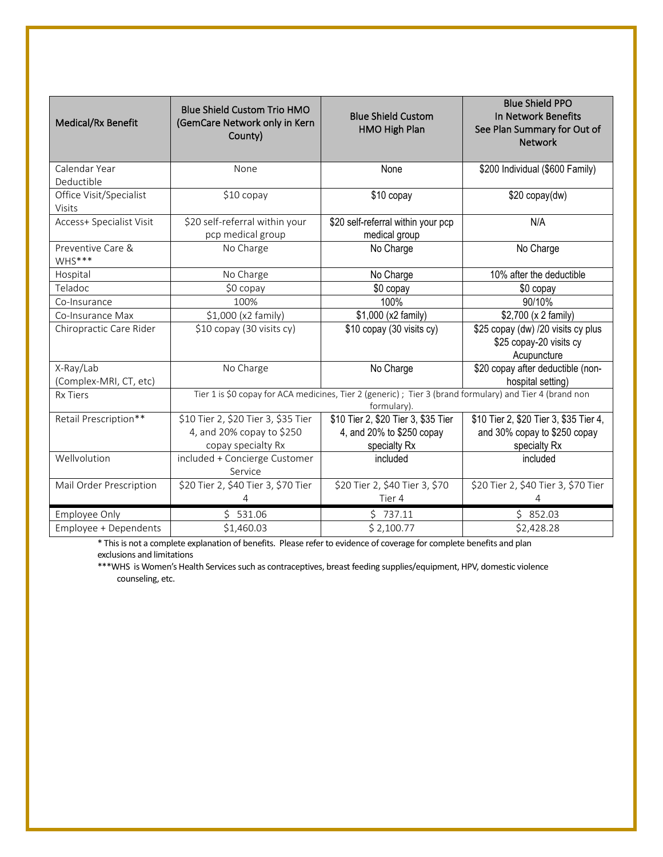| Medical/Rx Benefit                  | <b>Blue Shield Custom Trio HMO</b><br>(GemCare Network only in Kern<br>County)                                         | <b>Blue Shield Custom</b><br>HMO High Plan                                       | <b>Blue Shield PPO</b><br>In Network Benefits<br>See Plan Summary for Out of<br><b>Network</b> |  |
|-------------------------------------|------------------------------------------------------------------------------------------------------------------------|----------------------------------------------------------------------------------|------------------------------------------------------------------------------------------------|--|
| Calendar Year<br>Deductible         | None                                                                                                                   | None                                                                             | \$200 Individual (\$600 Family)                                                                |  |
| Office Visit/Specialist<br>Visits   | \$10 copay                                                                                                             | \$10 copay                                                                       | \$20 copy(dw)                                                                                  |  |
| Access+ Specialist Visit            | \$20 self-referral within your<br>pcp medical group                                                                    | \$20 self-referral within your pcp<br>medical group                              | N/A                                                                                            |  |
| Preventive Care &<br>WHS***         | No Charge                                                                                                              | No Charge                                                                        | No Charge                                                                                      |  |
| Hospital                            | No Charge                                                                                                              | No Charge                                                                        | 10% after the deductible                                                                       |  |
| Teladoc                             | \$0 copay                                                                                                              | \$0 copay                                                                        | \$0 copay                                                                                      |  |
| Co-Insurance                        | 100%                                                                                                                   | 100%                                                                             | 90/10%                                                                                         |  |
| Co-Insurance Max                    | \$1,000 (x2 family)                                                                                                    | \$1,000 (x2 family)                                                              | \$2,700 (x 2 family)                                                                           |  |
| Chiropractic Care Rider             | \$10 copay (30 visits cy)                                                                                              | \$10 copay (30 visits cy)                                                        | \$25 copay (dw) /20 visits cy plus<br>\$25 copay-20 visits cy<br>Acupuncture                   |  |
| X-Ray/Lab<br>(Complex-MRI, CT, etc) | No Charge                                                                                                              | No Charge                                                                        | \$20 copay after deductible (non-<br>hospital setting)                                         |  |
| <b>Rx Tiers</b>                     | Tier 1 is \$0 copay for ACA medicines, Tier 2 (generic); Tier 3 (brand formulary) and Tier 4 (brand non<br>formulary). |                                                                                  |                                                                                                |  |
| Retail Prescription**               | \$10 Tier 2, \$20 Tier 3, \$35 Tier<br>4, and 20% copay to \$250<br>copay specialty Rx                                 | \$10 Tier 2, \$20 Tier 3, \$35 Tier<br>4, and 20% to \$250 copay<br>specialty Rx | \$10 Tier 2, \$20 Tier 3, \$35 Tier 4,<br>and 30% copay to \$250 copay<br>specialty Rx         |  |
| Wellvolution                        | included + Concierge Customer<br>Service                                                                               | included                                                                         | included                                                                                       |  |
| Mail Order Prescription             | \$20 Tier 2, \$40 Tier 3, \$70 Tier<br>4                                                                               | \$20 Tier 2, \$40 Tier 3, \$70<br>Tier 4                                         | \$20 Tier 2, \$40 Tier 3, \$70 Tier<br>4                                                       |  |
| Employee Only                       | 531.06<br>S.                                                                                                           | 5737.11                                                                          | \$852.03                                                                                       |  |
| Employee + Dependents               | \$1,460.03                                                                                                             | \$2,100.77                                                                       | \$2,428.28                                                                                     |  |

\* This is not a complete explanation of benefits. Please refer to evidence of coverage for complete benefits and plan exclusions and limitations

\*\*\*WHS is Women's Health Services such as contraceptives, breast feeding supplies/equipment, HPV, domestic violence counseling, etc.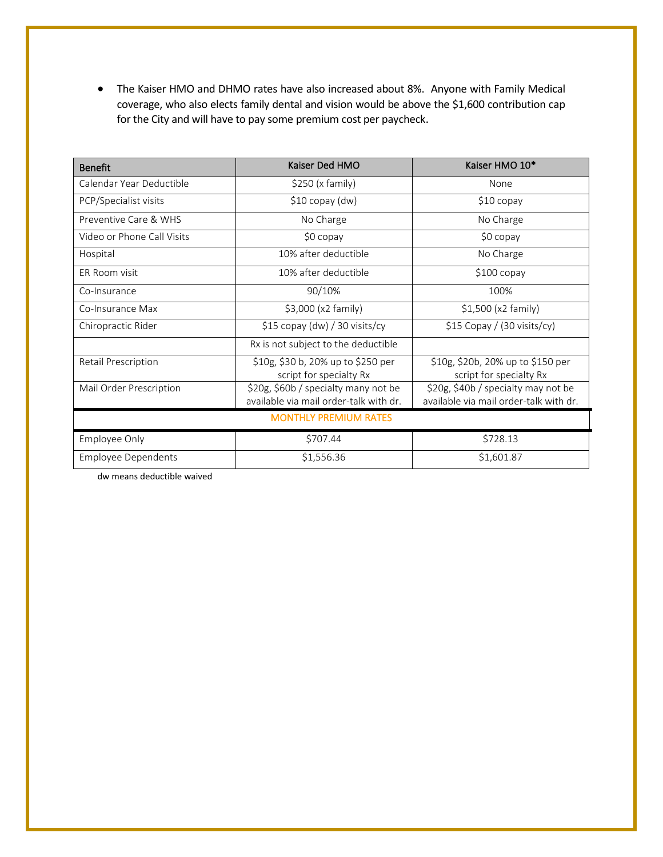• The Kaiser HMO and DHMO rates have also increased about 8%. Anyone with Family Medical coverage, who also elects family dental and vision would be above the \$1,600 contribution cap for the City and will have to pay some premium cost per paycheck.

| <b>Benefit</b>               | Kaiser Ded HMO                                                                 | Kaiser HMO 10*                                                                |  |  |
|------------------------------|--------------------------------------------------------------------------------|-------------------------------------------------------------------------------|--|--|
| Calendar Year Deductible     | \$250 (x family)                                                               | None                                                                          |  |  |
| PCP/Specialist visits        | $$10$ copay (dw)                                                               | $$10$ copay                                                                   |  |  |
| Preventive Care & WHS        | No Charge                                                                      | No Charge                                                                     |  |  |
| Video or Phone Call Visits   | \$0 copay                                                                      | \$0 copay                                                                     |  |  |
| Hospital                     | 10% after deductible                                                           | No Charge                                                                     |  |  |
| <b>FR Room visit</b>         | 10% after deductible                                                           | $$100$ copay                                                                  |  |  |
| Co-Insurance                 | 90/10%                                                                         | 100%                                                                          |  |  |
| Co-Insurance Max             | $$3,000$ (x2 family)                                                           | $$1,500$ (x2 family)                                                          |  |  |
| Chiropractic Rider           | $$15$ copay (dw) / 30 visits/cy                                                | $$15$ Copay / (30 visits/cy)                                                  |  |  |
|                              | Rx is not subject to the deductible                                            |                                                                               |  |  |
| Retail Prescription          | \$10g, \$30 b, 20% up to \$250 per<br>script for specialty Rx                  | \$10g, \$20b, 20% up to \$150 per<br>script for specialty Rx                  |  |  |
| Mail Order Prescription      | \$20g, \$60b / specialty many not be<br>available via mail order-talk with dr. | \$20g, \$40b / specialty may not be<br>available via mail order-talk with dr. |  |  |
| <b>MONTHLY PREMIUM RATES</b> |                                                                                |                                                                               |  |  |
| Employee Only                | \$707.44                                                                       | \$728.13                                                                      |  |  |
| <b>Employee Dependents</b>   | \$1,556.36                                                                     | \$1,601.87                                                                    |  |  |

dw means deductible waived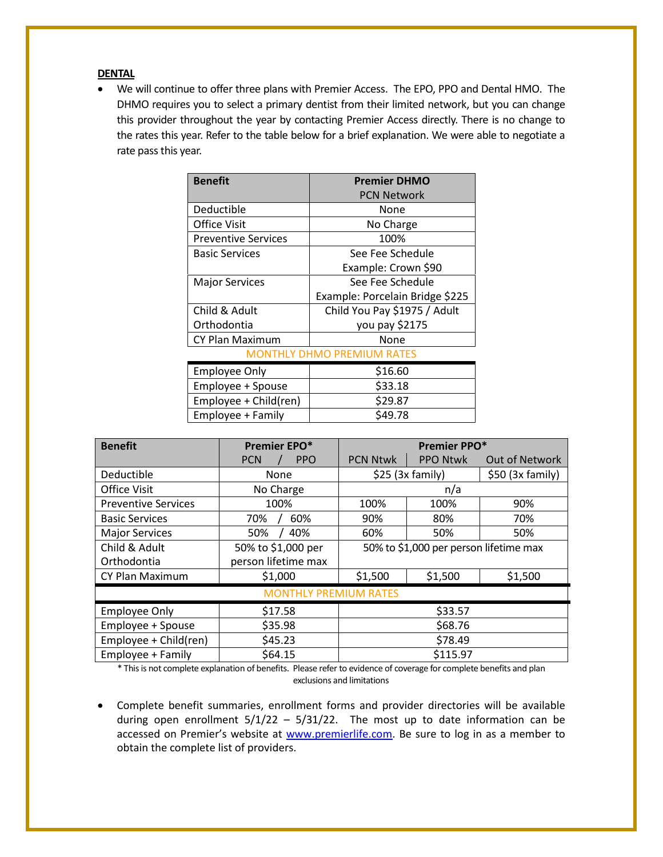#### **DENTAL**

• We will continue to offer three plans with Premier Access. The EPO, PPO and Dental HMO. The DHMO requires you to select a primary dentist from their limited network, but you can change this provider throughout the year by contacting Premier Access directly. There is no change to the rates this year. Refer to the table below for a brief explanation. We were able to negotiate a rate pass this year.

| <b>Benefit</b>             | <b>Premier DHMO</b>             |  |  |  |
|----------------------------|---------------------------------|--|--|--|
|                            | <b>PCN Network</b>              |  |  |  |
| Deductible                 | None                            |  |  |  |
| Office Visit               | No Charge                       |  |  |  |
| <b>Preventive Services</b> | 100%                            |  |  |  |
| <b>Basic Services</b>      | See Fee Schedule                |  |  |  |
|                            | Example: Crown \$90             |  |  |  |
| <b>Major Services</b>      | See Fee Schedule                |  |  |  |
|                            | Example: Porcelain Bridge \$225 |  |  |  |
| Child & Adult              | Child You Pay \$1975 / Adult    |  |  |  |
| Orthodontia                | you pay \$2175                  |  |  |  |
| <b>CY Plan Maximum</b>     | None                            |  |  |  |
| MONTHLY DHMO PREMIUM RATES |                                 |  |  |  |
| <b>Employee Only</b>       | \$16.60                         |  |  |  |
| Employee + Spouse          | \$33.18                         |  |  |  |
| Employee + Child(ren)      | \$29.87                         |  |  |  |
| Employee + Family          | \$49.78                         |  |  |  |

| <b>Benefit</b>               | Premier EPO*             | Premier PPO*                           |                 |                       |  |
|------------------------------|--------------------------|----------------------------------------|-----------------|-----------------------|--|
|                              | <b>PPO</b><br><b>PCN</b> | <b>PCN Ntwk</b>                        | <b>PPO Ntwk</b> | <b>Out of Network</b> |  |
| Deductible                   | None                     | $$25$ (3x family)                      |                 | $$50$ (3x family)     |  |
| <b>Office Visit</b>          | No Charge                | n/a                                    |                 |                       |  |
| <b>Preventive Services</b>   | 100%                     | 100%                                   | 100%            | 90%                   |  |
| <b>Basic Services</b>        | 60%<br>70%               | 90%                                    | 80%             | 70%                   |  |
| <b>Major Services</b>        | 40%<br>50%               | 60%                                    | 50%             | 50%                   |  |
| Child & Adult                | 50% to \$1,000 per       | 50% to \$1,000 per person lifetime max |                 |                       |  |
| Orthodontia                  | person lifetime max      |                                        |                 |                       |  |
| CY Plan Maximum              | \$1,000                  | \$1,500                                | \$1,500         | \$1,500               |  |
| <b>MONTHLY PREMIUM RATES</b> |                          |                                        |                 |                       |  |
| <b>Employee Only</b>         | \$17.58                  | \$33.57                                |                 |                       |  |
| Employee + Spouse            | \$35.98                  | \$68.76                                |                 |                       |  |
| Employee + Child(ren)        | \$45.23                  | \$78.49                                |                 |                       |  |
| Employee + Family            | \$64.15                  | \$115.97                               |                 |                       |  |

\* This is not complete explanation of benefits. Please refer to evidence of coverage for complete benefits and plan exclusions and limitations

• Complete benefit summaries, enrollment forms and provider directories will be available during open enrollment  $5/1/22 - 5/31/22$ . The most up to date information can be accessed on Premier's website at [www.premierlife.com.](http://www.premierlife.com/) Be sure to log in as a member to obtain the complete list of providers.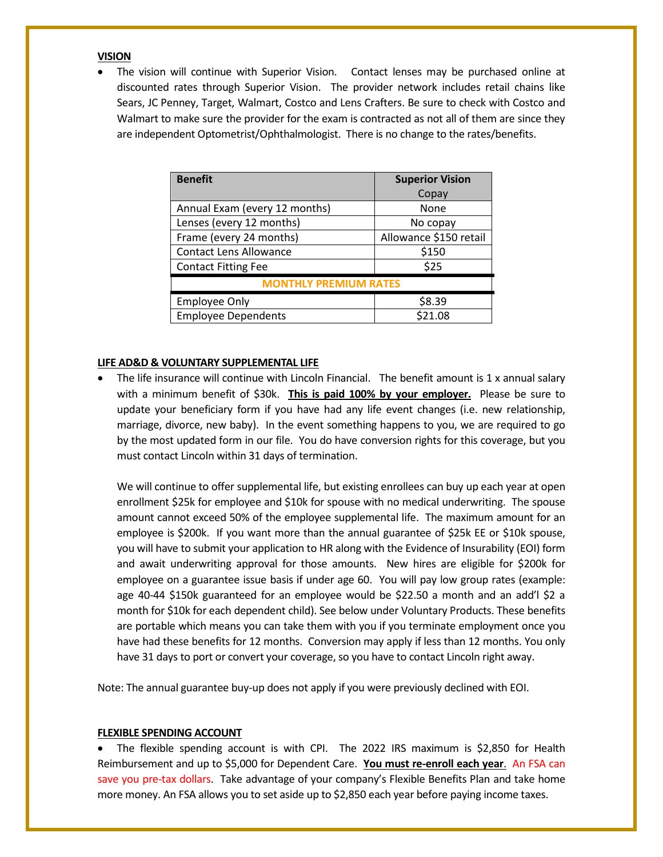#### **VISION**

• The vision will continue with Superior Vision. Contact lenses may be purchased online at discounted rates through Superior Vision. The provider network includes retail chains like Sears, JC Penney, Target, Walmart, Costco and Lens Crafters. Be sure to check with Costco and Walmart to make sure the provider for the exam is contracted as not all of them are since they are independent Optometrist/Ophthalmologist. There is no change to the rates/benefits.

| <b>Benefit</b>                | <b>Superior Vision</b> |  |  |
|-------------------------------|------------------------|--|--|
|                               | Copay                  |  |  |
| Annual Exam (every 12 months) | None                   |  |  |
| Lenses (every 12 months)      | No copay               |  |  |
| Frame (every 24 months)       | Allowance \$150 retail |  |  |
| <b>Contact Lens Allowance</b> | \$150                  |  |  |
| <b>Contact Fitting Fee</b>    | \$25                   |  |  |
| <b>MONTHLY PREMIUM RATES</b>  |                        |  |  |
| <b>Employee Only</b>          | \$8.39                 |  |  |
| <b>Employee Dependents</b>    | \$21.08                |  |  |

#### **LIFE AD&D & VOLUNTARY SUPPLEMENTAL LIFE**

The life insurance will continue with Lincoln Financial. The benefit amount is 1 x annual salary with a minimum benefit of \$30k. **This is paid 100% by your employer.** Please be sure to update your beneficiary form if you have had any life event changes (i.e. new relationship, marriage, divorce, new baby). In the event something happens to you, we are required to go by the most updated form in our file. You do have conversion rights for this coverage, but you must contact Lincoln within 31 days of termination.

We will continue to offer supplemental life, but existing enrollees can buy up each year at open enrollment \$25k for employee and \$10k for spouse with no medical underwriting. The spouse amount cannot exceed 50% of the employee supplemental life. The maximum amount for an employee is \$200k. If you want more than the annual guarantee of \$25k EE or \$10k spouse, you will have to submit your application to HR along with the Evidence of Insurability (EOI) form and await underwriting approval for those amounts. New hires are eligible for \$200k for employee on a guarantee issue basis if under age 60. You will pay low group rates (example: age 40-44 \$150k guaranteed for an employee would be \$22.50 a month and an add'l \$2 a month for \$10k for each dependent child). See below under Voluntary Products. These benefits are portable which means you can take them with you if you terminate employment once you have had these benefits for 12 months. Conversion may apply if less than 12 months. You only have 31 days to port or convert your coverage, so you have to contact Lincoln right away.

Note: The annual guarantee buy-up does not apply if you were previously declined with EOI.

#### **FLEXIBLE SPENDING ACCOUNT**

• The flexible spending account is with CPI. The 2022 IRS maximum is \$2,850 for Health Reimbursement and up to \$5,000 for Dependent Care. **You must re-enroll each year**. An FSA can save you pre-tax dollars. Take advantage of your company's Flexible Benefits Plan and take home more money. An FSA allows you to set aside up to \$2,850 each year before paying income taxes.